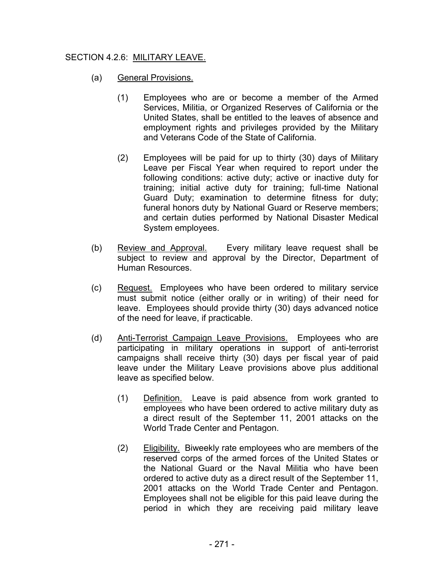## SECTION 4.2.6: MILITARY LEAVE.

- (a) General Provisions.
	- (1) Employees who are or become a member of the Armed Services, Militia, or Organized Reserves of California or the United States, shall be entitled to the leaves of absence and employment rights and privileges provided by the Military and Veterans Code of the State of California.
	- (2) Employees will be paid for up to thirty (30) days of Military Leave per Fiscal Year when required to report under the following conditions: active duty; active or inactive duty for training; initial active duty for training; full-time National Guard Duty; examination to determine fitness for duty; funeral honors duty by National Guard or Reserve members; and certain duties performed by National Disaster Medical System employees.
- (b) Review and Approval. Every military leave request shall be subject to review and approval by the Director, Department of Human Resources.
- (c) Request. Employees who have been ordered to military service must submit notice (either orally or in writing) of their need for leave. Employees should provide thirty (30) days advanced notice of the need for leave, if practicable.
- (d) Anti-Terrorist Campaign Leave Provisions. Employees who are participating in military operations in support of anti-terrorist campaigns shall receive thirty (30) days per fiscal year of paid leave under the Military Leave provisions above plus additional leave as specified below.
	- (1) Definition. Leave is paid absence from work granted to employees who have been ordered to active military duty as a direct result of the September 11, 2001 attacks on the World Trade Center and Pentagon.
	- (2) Eligibility. Biweekly rate employees who are members of the reserved corps of the armed forces of the United States or the National Guard or the Naval Militia who have been ordered to active duty as a direct result of the September 11, 2001 attacks on the World Trade Center and Pentagon. Employees shall not be eligible for this paid leave during the period in which they are receiving paid military leave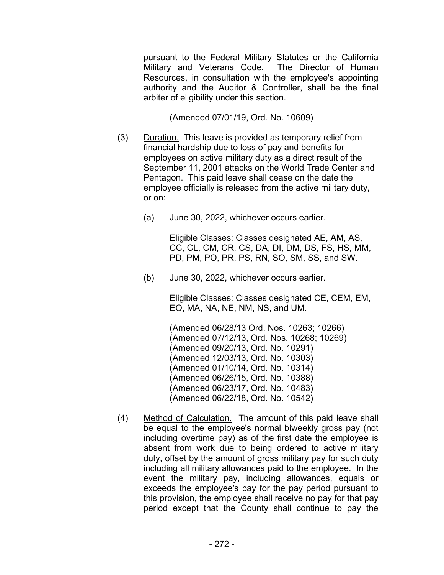pursuant to the Federal Military Statutes or the California Military and Veterans Code. The Director of Human Resources, in consultation with the employee's appointing authority and the Auditor & Controller, shall be the final arbiter of eligibility under this section.

(Amended 07/01/19, Ord. No. 10609)

- (3) Duration. This leave is provided as temporary relief from financial hardship due to loss of pay and benefits for employees on active military duty as a direct result of the September 11, 2001 attacks on the World Trade Center and Pentagon. This paid leave shall cease on the date the employee officially is released from the active military duty, or on:
	- (a) June 30, 2022, whichever occurs earlier.

Eligible Classes: Classes designated AE, AM, AS, CC, CL, CM, CR, CS, DA, DI, DM, DS, FS, HS, MM, PD, PM, PO, PR, PS, RN, SO, SM, SS, and SW.

(b) June 30, 2022, whichever occurs earlier.

Eligible Classes: Classes designated CE, CEM, EM, EO, MA, NA, NE, NM, NS, and UM.

 (Amended 06/28/13 Ord. Nos. 10263; 10266) (Amended 07/12/13, Ord. Nos. 10268; 10269) (Amended 09/20/13, Ord. No. 10291) (Amended 12/03/13, Ord. No. 10303) (Amended 01/10/14, Ord. No. 10314) (Amended 06/26/15, Ord. No. 10388) (Amended 06/23/17, Ord. No. 10483) (Amended 06/22/18, Ord. No. 10542)

(4) Method of Calculation. The amount of this paid leave shall be equal to the employee's normal biweekly gross pay (not including overtime pay) as of the first date the employee is absent from work due to being ordered to active military duty, offset by the amount of gross military pay for such duty including all military allowances paid to the employee. In the event the military pay, including allowances, equals or exceeds the employee's pay for the pay period pursuant to this provision, the employee shall receive no pay for that pay period except that the County shall continue to pay the